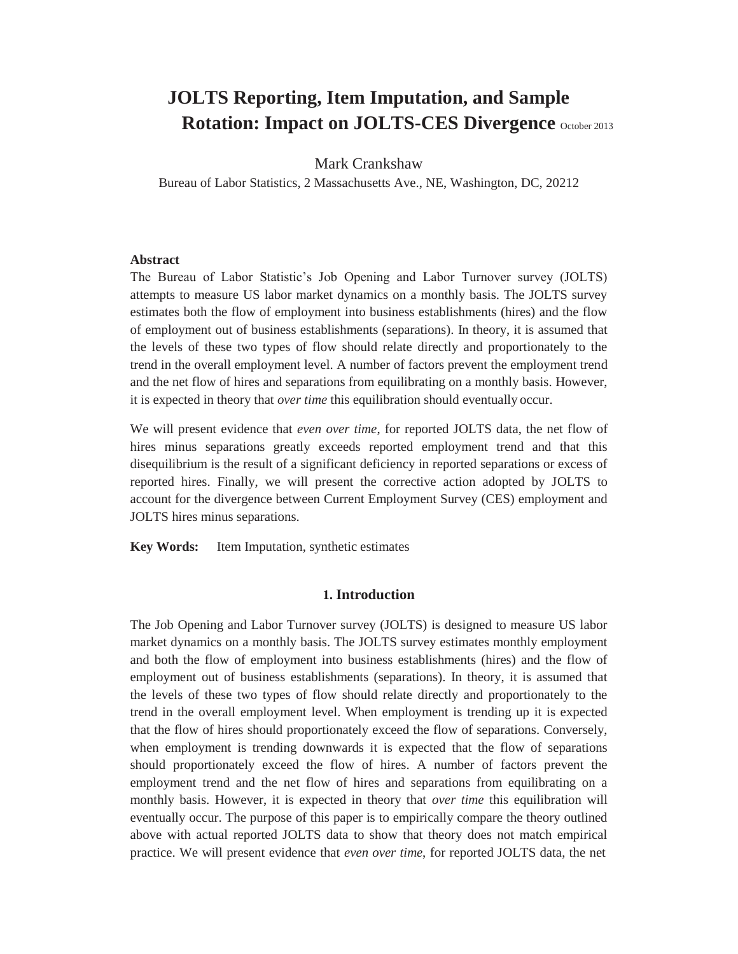# **JOLTS Reporting, Item Imputation, and Sample Rotation: Impact on JOLTS-CES Divergence** October 2013

## Mark Crankshaw

Bureau of Labor Statistics, 2 Massachusetts Ave., NE, Washington, DC, 20212

#### **Abstract**

The Bureau of Labor Statistic's Job Opening and Labor Turnover survey (JOLTS) attempts to measure US labor market dynamics on a monthly basis. The JOLTS survey estimates both the flow of employment into business establishments (hires) and the flow of employment out of business establishments (separations). In theory, it is assumed that the levels of these two types of flow should relate directly and proportionately to the trend in the overall employment level. A number of factors prevent the employment trend and the net flow of hires and separations from equilibrating on a monthly basis. However, it is expected in theory that *over time* this equilibration should eventually occur.

We will present evidence that *even over time*, for reported JOLTS data, the net flow of hires minus separations greatly exceeds reported employment trend and that this disequilibrium is the result of a significant deficiency in reported separations or excess of reported hires. Finally, we will present the corrective action adopted by JOLTS to account for the divergence between Current Employment Survey (CES) employment and JOLTS hires minus separations.

**Key Words:** Item Imputation, synthetic estimates

#### **1. Introduction**

The Job Opening and Labor Turnover survey (JOLTS) is designed to measure US labor market dynamics on a monthly basis. The JOLTS survey estimates monthly employment and both the flow of employment into business establishments (hires) and the flow of employment out of business establishments (separations). In theory, it is assumed that the levels of these two types of flow should relate directly and proportionately to the trend in the overall employment level. When employment is trending up it is expected that the flow of hires should proportionately exceed the flow of separations. Conversely, when employment is trending downwards it is expected that the flow of separations should proportionately exceed the flow of hires. A number of factors prevent the employment trend and the net flow of hires and separations from equilibrating on a monthly basis. However, it is expected in theory that *over time* this equilibration will eventually occur. The purpose of this paper is to empirically compare the theory outlined above with actual reported JOLTS data to show that theory does not match empirical practice. We will present evidence that *even over time*, for reported JOLTS data, the net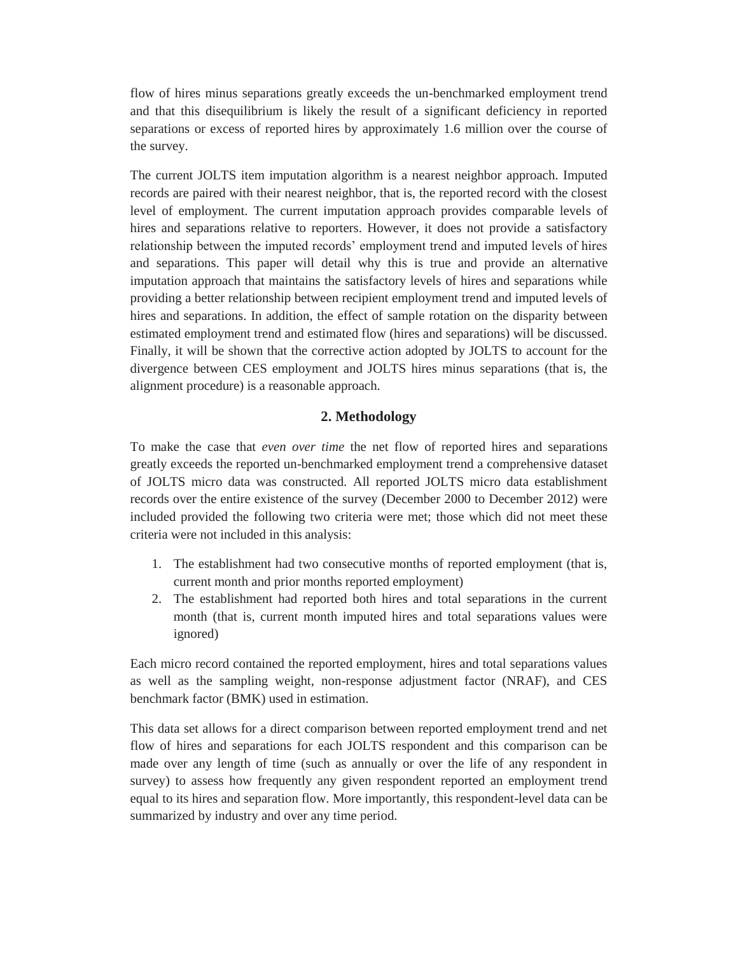flow of hires minus separations greatly exceeds the un-benchmarked employment trend and that this disequilibrium is likely the result of a significant deficiency in reported separations or excess of reported hires by approximately 1.6 million over the course of the survey.

The current JOLTS item imputation algorithm is a nearest neighbor approach. Imputed records are paired with their nearest neighbor, that is, the reported record with the closest level of employment. The current imputation approach provides comparable levels of hires and separations relative to reporters. However, it does not provide a satisfactory relationship between the imputed records' employment trend and imputed levels of hires and separations. This paper will detail why this is true and provide an alternative imputation approach that maintains the satisfactory levels of hires and separations while providing a better relationship between recipient employment trend and imputed levels of hires and separations. In addition, the effect of sample rotation on the disparity between estimated employment trend and estimated flow (hires and separations) will be discussed. Finally, it will be shown that the corrective action adopted by JOLTS to account for the divergence between CES employment and JOLTS hires minus separations (that is, the alignment procedure) is a reasonable approach.

# **2. Methodology**

To make the case that *even over time* the net flow of reported hires and separations greatly exceeds the reported un-benchmarked employment trend a comprehensive dataset of JOLTS micro data was constructed. All reported JOLTS micro data establishment records over the entire existence of the survey (December 2000 to December 2012) were included provided the following two criteria were met; those which did not meet these criteria were not included in this analysis:

- 1. The establishment had two consecutive months of reported employment (that is, current month and prior months reported employment)
- 2. The establishment had reported both hires and total separations in the current month (that is, current month imputed hires and total separations values were ignored)

Each micro record contained the reported employment, hires and total separations values as well as the sampling weight, non-response adjustment factor (NRAF), and CES benchmark factor (BMK) used in estimation.

This data set allows for a direct comparison between reported employment trend and net flow of hires and separations for each JOLTS respondent and this comparison can be made over any length of time (such as annually or over the life of any respondent in survey) to assess how frequently any given respondent reported an employment trend equal to its hires and separation flow. More importantly, this respondent-level data can be summarized by industry and over any time period.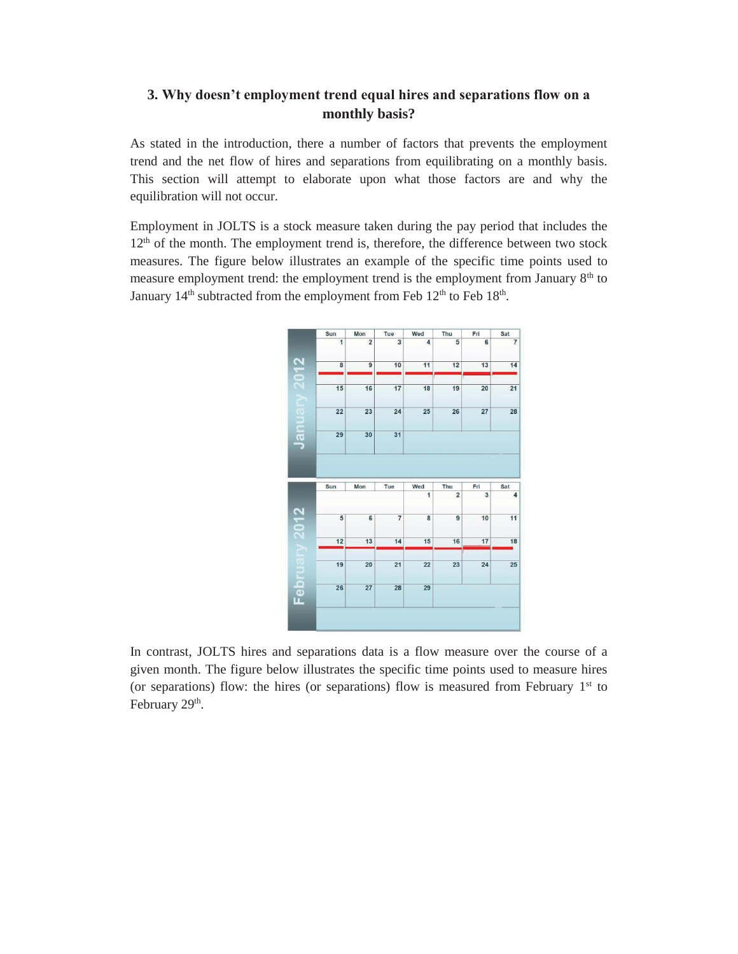# **3. Why doesn't employment trend equal hires and separations flow on a monthly basis?**

As stated in the introduction, there a number of factors that prevents the employment trend and the net flow of hires and separations from equilibrating on a monthly basis. This section will attempt to elaborate upon what those factors are and why the equilibration will not occur.

Employment in JOLTS is a stock measure taken during the pay period that includes the  $12<sup>th</sup>$  of the month. The employment trend is, therefore, the difference between two stock measures. The figure below illustrates an example of the specific time points used to measure employment trend: the employment trend is the employment from January 8<sup>th</sup> to January  $14<sup>th</sup>$  subtracted from the employment from Feb  $12<sup>th</sup>$  to Feb  $18<sup>th</sup>$ .



In contrast, JOLTS hires and separations data is a flow measure over the course of a given month. The figure below illustrates the specific time points used to measure hires (or separations) flow: the hires (or separations) flow is measured from February  $1<sup>st</sup>$  to February 29<sup>th</sup>.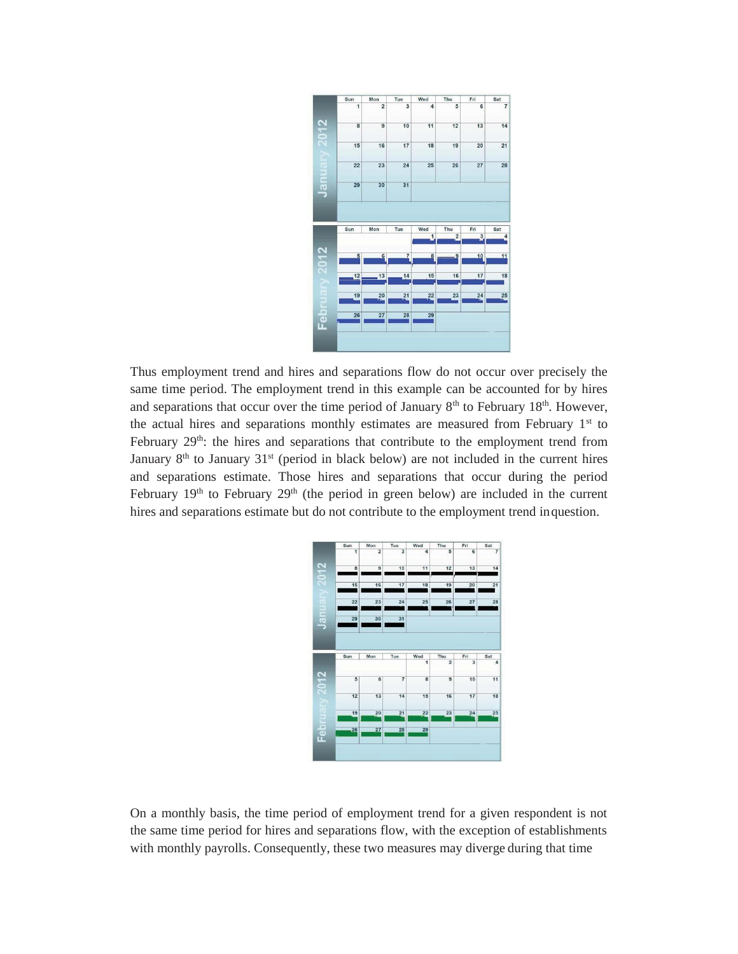

Thus employment trend and hires and separations flow do not occur over precisely the same time period. The employment trend in this example can be accounted for by hires and separations that occur over the time period of January  $8<sup>th</sup>$  to February 18<sup>th</sup>. However, the actual hires and separations monthly estimates are measured from February  $1<sup>st</sup>$  to February 29<sup>th</sup>: the hires and separations that contribute to the employment trend from January  $8<sup>th</sup>$  to January  $31<sup>st</sup>$  (period in black below) are not included in the current hires and separations estimate. Those hires and separations that occur during the period February  $19<sup>th</sup>$  to February  $29<sup>th</sup>$  (the period in green below) are included in the current hires and separations estimate but do not contribute to the employment trend inquestion.



On a monthly basis, the time period of employment trend for a given respondent is not the same time period for hires and separations flow, with the exception of establishments with monthly payrolls. Consequently, these two measures may diverge during that time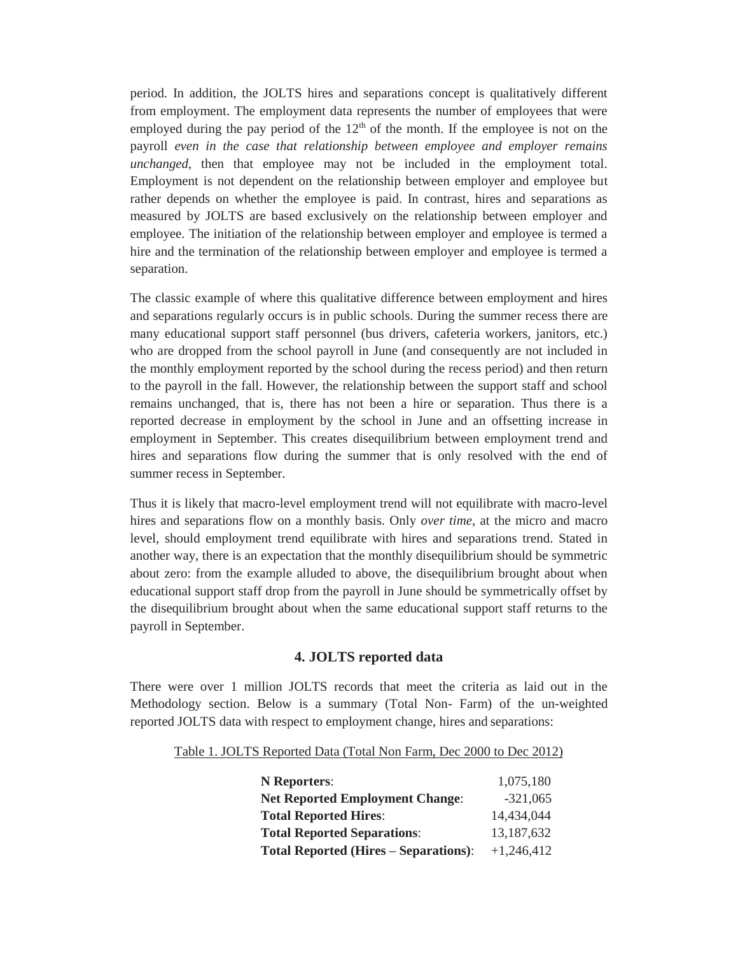period. In addition, the JOLTS hires and separations concept is qualitatively different from employment. The employment data represents the number of employees that were employed during the pay period of the  $12<sup>th</sup>$  of the month. If the employee is not on the payroll *even in the case that relationship between employee and employer remains unchanged*, then that employee may not be included in the employment total. Employment is not dependent on the relationship between employer and employee but rather depends on whether the employee is paid. In contrast, hires and separations as measured by JOLTS are based exclusively on the relationship between employer and employee. The initiation of the relationship between employer and employee is termed a hire and the termination of the relationship between employer and employee is termed a separation.

The classic example of where this qualitative difference between employment and hires and separations regularly occurs is in public schools. During the summer recess there are many educational support staff personnel (bus drivers, cafeteria workers, janitors, etc.) who are dropped from the school payroll in June (and consequently are not included in the monthly employment reported by the school during the recess period) and then return to the payroll in the fall. However, the relationship between the support staff and school remains unchanged, that is, there has not been a hire or separation. Thus there is a reported decrease in employment by the school in June and an offsetting increase in employment in September. This creates disequilibrium between employment trend and hires and separations flow during the summer that is only resolved with the end of summer recess in September.

Thus it is likely that macro-level employment trend will not equilibrate with macro-level hires and separations flow on a monthly basis. Only *over time*, at the micro and macro level, should employment trend equilibrate with hires and separations trend. Stated in another way, there is an expectation that the monthly disequilibrium should be symmetric about zero: from the example alluded to above, the disequilibrium brought about when educational support staff drop from the payroll in June should be symmetrically offset by the disequilibrium brought about when the same educational support staff returns to the payroll in September.

## **4. JOLTS reported data**

There were over 1 million JOLTS records that meet the criteria as laid out in the Methodology section. Below is a summary (Total Non- Farm) of the un-weighted reported JOLTS data with respect to employment change, hires and separations:

Table 1. JOLTS Reported Data (Total Non Farm, Dec 2000 to Dec 2012)

| <b>N</b> Reporters:                          | 1,075,180    |
|----------------------------------------------|--------------|
| <b>Net Reported Employment Change:</b>       | $-321,065$   |
| <b>Total Reported Hires:</b>                 | 14,434,044   |
| <b>Total Reported Separations:</b>           | 13,187,632   |
| <b>Total Reported (Hires – Separations):</b> | $+1,246,412$ |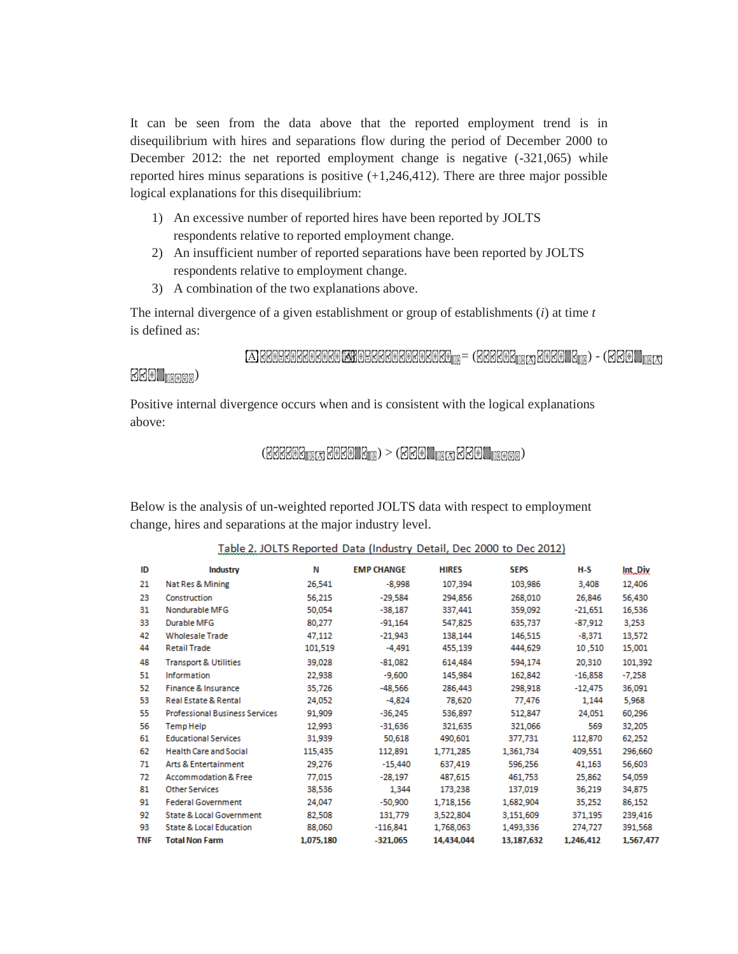It can be seen from the data above that the reported employment trend is in disequilibrium with hires and separations flow during the period of December 2000 to December 2012: the net reported employment change is negative (-321,065) while reported hires minus separations is positive  $(+1,246,412)$ . There are three major possible logical explanations for this disequilibrium:

- 1) An excessive number of reported hires have been reported by JOLTS respondents relative to reported employment change.
- 2) An insufficient number of reported separations have been reported by JOLTS respondents relative to employment change.
- 3) A combination of the two explanations above.

The internal divergence of a given establishment or group of establishments (*i*) at time *t* is defined as:

 $\Box$ B6098080808080 KN098888080808080909 = (688808 $_{\text{mg}}$  3080 | 8 $_{\text{mg}}$ ) - (680 |  $_{\text{mg}}$ 

## $B$  $B$   $\blacksquare$

Positive internal divergence occurs when and is consistent with the logical explanations above:

## $\mathcal{L}(\mathbb{R}[\mathbb{R}[\mathbb{R}[\mathbb{R}[\mathbb{R}[\mathbb{R}[\mathbb{R}[\mathbb{R}[\mathbb{R}[\mathbb{R}[\mathbb{R}[\mathbb{R}[\mathbb{R}[\mathbb{R}[\mathbb{R}[\mathbb{R}[\mathbb{R}[\mathbb{R}[\mathbb{R}[\mathbb{R}[\mathbb{R}[\mathbb{R}[\mathbb{R}[\mathbb{R}[\mathbb{R}[\mathbb{R}[\mathbb{R}[\mathbb{R}[\mathbb{R}[\mathbb{R}[\mathbb{R}[\mathbb{R}[\mathbb{R}[\mathbb{R}[\mathbb{R}[\mathbb{$

Below is the analysis of un-weighted reported JOLTS data with respect to employment change, hires and separations at the major industry level.

| ID         | Industry                              | Ν         | <b>EMP CHANGE</b> | <b>HIRES</b> | <b>SEPS</b> | H-S       | <b>Int. Div</b> |
|------------|---------------------------------------|-----------|-------------------|--------------|-------------|-----------|-----------------|
| 21         | Nat Res & Mining                      | 26,541    | $-8,998$          | 107,394      | 103,986     | 3,408     | 12,406          |
| 23         | Construction                          | 56,215    | $-29.584$         | 294,856      | 268,010     | 26,846    | 56,430          |
| 31         | Nondurable MFG                        | 50,054    | $-38,187$         | 337,441      | 359,092     | $-21,651$ | 16,536          |
| 33         | Durable MFG                           | 80.277    | $-91,164$         | 547,825      | 635,737     | $-87,912$ | 3,253           |
| 42         | <b>Wholesale Trade</b>                | 47,112    | $-21.943$         | 138,144      | 146,515     | $-8.371$  | 13,572          |
| 44         | <b>Retail Trade</b>                   | 101,519   | $-4,491$          | 455,139      | 444,629     | 10,510    | 15,001          |
| 48         | <b>Transport &amp; Utilities</b>      | 39,028    | $-81,082$         | 614,484      | 594,174     | 20,310    | 101,392         |
| 51         | Information                           | 22,938    | $-9,600$          | 145,984      | 162,842     | $-16,858$ | $-7,258$        |
| 52         | Finance & Insurance                   | 35,726    | $-48,566$         | 286,443      | 298,918     | $-12,475$ | 36,091          |
| 53         | <b>Real Estate &amp; Rental</b>       | 24.052    | $-4,824$          | 78,620       | 77,476      | 1,144     | 5,968           |
| 55         | <b>Professional Business Services</b> | 91,909    | $-36.245$         | 536,897      | 512,847     | 24,051    | 60,296          |
| 56         | Temp Help                             | 12,993    | $-31,636$         | 321,635      | 321,066     | 569       | 32,205          |
| 61         | <b>Educational Services</b>           | 31,939    | 50,618            | 490,601      | 377,731     | 112,870   | 62,252          |
| 62         | <b>Health Care and Social</b>         | 115,435   | 112,891           | 1,771,285    | 1,361,734   | 409,551   | 296,660         |
| 71         | <b>Arts &amp; Entertainment</b>       | 29,276    | $-15,440$         | 637,419      | 596,256     | 41,163    | 56,603          |
| 72         | <b>Accommodation &amp; Free</b>       | 77,015    | $-28,197$         | 487,615      | 461,753     | 25,862    | 54,059          |
| 81         | <b>Other Services</b>                 | 38,536    | 1.344             | 173,238      | 137,019     | 36,219    | 34,875          |
| 91         | <b>Federal Government</b>             | 24,047    | $-50,900$         | 1,718,156    | 1,682,904   | 35,252    | 86,152          |
| 92         | State & Local Government              | 82,508    | 131,779           | 3,522,804    | 3,151,609   | 371,195   | 239,416         |
| 93         | <b>State &amp; Local Education</b>    | 88,060    | $-116,841$        | 1,768,063    | 1,493,336   | 274,727   | 391,568         |
| <b>TNF</b> | <b>Total Non Farm</b>                 | 1,075,180 | $-321,065$        | 14.434.044   | 13,187,632  | 1.246.412 | 1,567,477       |

| Table 2. JOLTS Reported Data (Industry Detail, Dec 2000 to Dec 2012) |  |  |  |  |
|----------------------------------------------------------------------|--|--|--|--|
| <b>Address Contract Contract Contract Contract</b>                   |  |  |  |  |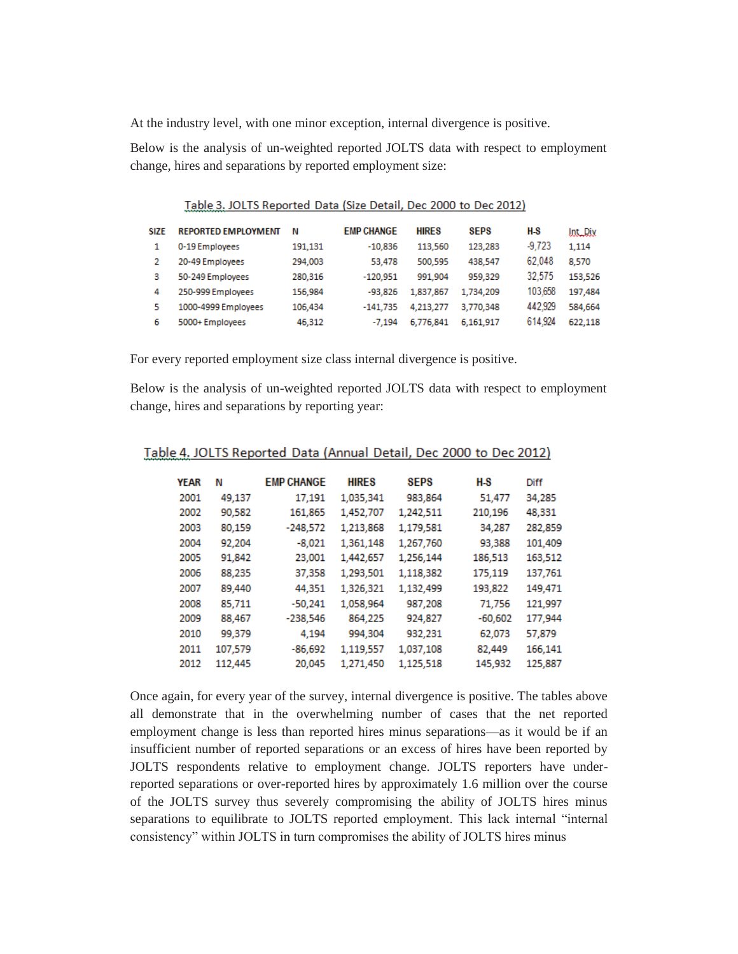At the industry level, with one minor exception, internal divergence is positive.

Below is the analysis of un-weighted reported JOLTS data with respect to employment change, hires and separations by reported employment size:

| SIZE | <b>REPORTED EMPLOYMENT</b> | Ν       | <b>EMP CHANGE</b> | <b>HIRES</b> | <b>SEPS</b> | H-S      | <b>IntDix</b> |
|------|----------------------------|---------|-------------------|--------------|-------------|----------|---------------|
|      | 0-19 Employees             | 191.131 | $-10.836$         | 113,560      | 123,283     | $-9.723$ | 1.114         |
|      | 20-49 Employees            | 294,003 | 53.478            | 500.595      | 438.547     | 62.048   | 8.570         |
| з    | 50-249 Employees           | 280,316 | $-120.951$        | 991.904      | 959,329     | 32.575   | 153,526       |
| 4    | 250-999 Employees          | 156,984 | $-93.826$         | 1,837,867    | 1.734.209   | 103.658  | 197,484       |
| 5    | 1000-4999 Employees        | 106.434 | $-141.735$        | 4.213.277    | 3.770.348   | 442.929  | 584.664       |
| 6    | 5000+ Employees            | 46,312  | $-7.194$          | 6.776.841    | 6.161.917   | 614.924  | 622.118       |

Table 3. JOLTS Reported Data (Size Detail, Dec 2000 to Dec 2012)

For every reported employment size class internal divergence is positive.

Below is the analysis of un-weighted reported JOLTS data with respect to employment change, hires and separations by reporting year:

| <b>YEAR</b> | Ν       | <b>EMP CHANGE</b> | <b>HIRES</b> | <b>SEPS</b> | H-S       | Diff    |
|-------------|---------|-------------------|--------------|-------------|-----------|---------|
| 2001        | 49,137  | 17,191            | 1,035,341    | 983,864     | 51,477    | 34,285  |
| 2002        | 90,582  | 161,865           | 1,452,707    | 1,242,511   | 210,196   | 48,331  |
| 2003        | 80.159  | $-248,572$        | 1,213,868    | 1,179,581   | 34,287    | 282,859 |
| 2004        | 92.204  | $-8,021$          | 1,361,148    | 1,267,760   | 93,388    | 101,409 |
| 2005        | 91,842  | 23,001            | 1,442,657    | 1,256,144   | 186,513   | 163,512 |
| 2006        | 88,235  | 37,358            | 1,293,501    | 1,118,382   | 175,119   | 137,761 |
| 2007        | 89,440  | 44,351            | 1,326,321    | 1,132,499   | 193,822   | 149,471 |
| 2008        | 85,711  | $-50,241$         | 1,058,964    | 987,208     | 71,756    | 121,997 |
| 2009        | 88,467  | $-238,546$        | 864,225      | 924,827     | $-60,602$ | 177,944 |
| 2010        | 99.379  | 4.194             | 994,304      | 932,231     | 62,073    | 57,879  |
| 2011        | 107,579 | $-86,692$         | 1,119,557    | 1,037,108   | 82,449    | 166,141 |
| 2012        | 112,445 | 20,045            | 1,271,450    | 1,125,518   | 145,932   | 125,887 |
|             |         |                   |              |             |           |         |

Table 4. JOLTS Reported Data (Annual Detail, Dec 2000 to Dec 2012)

Once again, for every year of the survey, internal divergence is positive. The tables above all demonstrate that in the overwhelming number of cases that the net reported employment change is less than reported hires minus separations—as it would be if an insufficient number of reported separations or an excess of hires have been reported by JOLTS respondents relative to employment change. JOLTS reporters have underreported separations or over-reported hires by approximately 1.6 million over the course of the JOLTS survey thus severely compromising the ability of JOLTS hires minus separations to equilibrate to JOLTS reported employment. This lack internal "internal consistency" within JOLTS in turn compromises the ability of JOLTS hires minus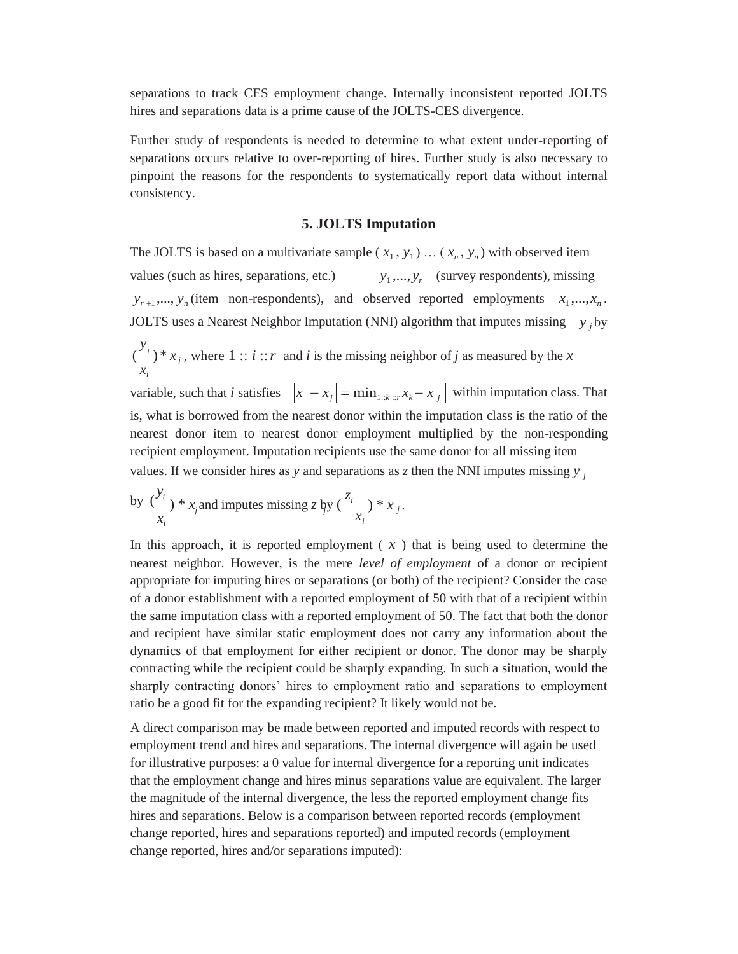separations to track CES employment change. Internally inconsistent reported JOLTS hires and separations data is a prime cause of the JOLTS-CES divergence.

Further study of respondents is needed to determine to what extent under-reporting of separations occurs relative to over-reporting of hires. Further study is also necessary to pinpoint the reasons for the respondents to systematically report data without internal consistency.

#### **5. JOLTS Imputation**

*i y* The JOLTS is based on a multivariate sample  $(x_1, y_1) \dots (x_n, y_n)$  with observed item values (such as hires, separations, etc.)  $y_1,..., y_r$  (survey respondents), missing  $y_{r+1}$ ,...,  $y_n$  (item non-respondents), and observed reported employments  $x_1$ ,..., $x_n$ . JOLTS uses a Nearest Neighbor Imputation (NNI) algorithm that imputes missing *y j* by  $\left( \frac{y}{i} \right) * x_j$ *xi* , where  $1 :: i :: r$  and *i* is the missing neighbor of *j* as measured by the *x* variable, such that *i* satisfies  $x - x_j = \min_{1: k : r} |x_k - x_j|$  within imputation class. That is, what is borrowed from the nearest donor within the imputation class is the ratio of the nearest donor item to nearest donor employment multiplied by the non-responding recipient employment. Imputation recipients use the same donor for all missing item

values. If we consider hires as *y* and separations as *z* then the NNI imputes missing *y j* 

by 
$$
\frac{y_i}{x_i}
$$
 \* x<sub>j</sub> and imputes missing z by  $\left(\frac{z_i}{x_i}\right) * x_j$ .

In this approach, it is reported employment  $(x)$  that is being used to determine the nearest neighbor. However, is the mere *level of employment* of a donor or recipient appropriate for imputing hires or separations (or both) of the recipient? Consider the case of a donor establishment with a reported employment of 50 with that of a recipient within the same imputation class with a reported employment of 50. The fact that both the donor and recipient have similar static employment does not carry any information about the dynamics of that employment for either recipient or donor. The donor may be sharply contracting while the recipient could be sharply expanding. In such a situation, would the sharply contracting donors' hires to employment ratio and separations to employment ratio be a good fit for the expanding recipient? It likely would not be.

A direct comparison may be made between reported and imputed records with respect to employment trend and hires and separations. The internal divergence will again be used for illustrative purposes: a 0 value for internal divergence for a reporting unit indicates that the employment change and hires minus separations value are equivalent. The larger the magnitude of the internal divergence, the less the reported employment change fits hires and separations. Below is a comparison between reported records (employment change reported, hires and separations reported) and imputed records (employment change reported, hires and/or separations imputed):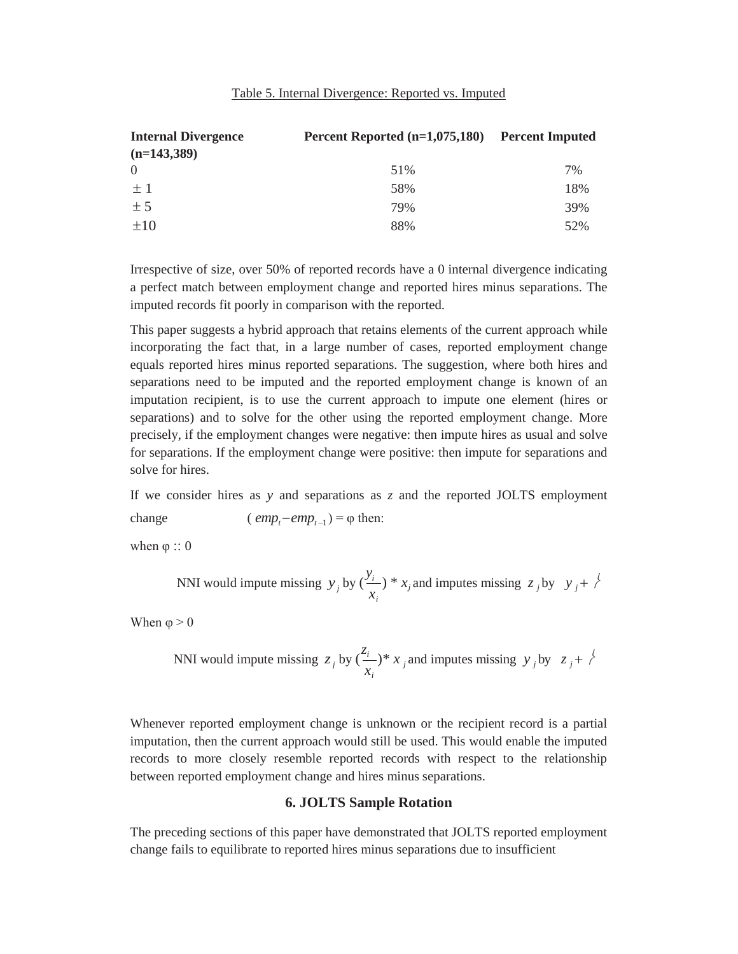| Table 5. Internal Divergence: Reported vs. Imputed |
|----------------------------------------------------|
|----------------------------------------------------|

| <b>Internal Divergence</b> | Percent Reported $(n=1,075,180)$ | <b>Percent Imputed</b> |
|----------------------------|----------------------------------|------------------------|
| $(n=143,389)$              |                                  |                        |
| $\Omega$                   | 51%                              | 7%                     |
| $+1$                       | 58%                              | 18%                    |
| ± 5                        | 79%                              | 39%                    |
| $+10$                      | 88%                              | 52%                    |

Irrespective of size, over 50% of reported records have a 0 internal divergence indicating a perfect match between employment change and reported hires minus separations. The imputed records fit poorly in comparison with the reported.

This paper suggests a hybrid approach that retains elements of the current approach while incorporating the fact that, in a large number of cases, reported employment change equals reported hires minus reported separations. The suggestion, where both hires and separations need to be imputed and the reported employment change is known of an imputation recipient, is to use the current approach to impute one element (hires or separations) and to solve for the other using the reported employment change. More precisely, if the employment changes were negative: then impute hires as usual and solve for separations. If the employment change were positive: then impute for separations and solve for hires.

If we consider hires as *y* and separations as *z* and the reported JOLTS employment change  $(\text{emp}_t - \text{emp}_{t-1}) = \varphi$  then:

when  $\varphi$   $\therefore$  0

*x x x x x***<b>***x x x***<b>***x x x x***<b>***x x x***<b>***x x x x x x x x x**i* ) \*  $x_j$  and imputes missing  $z_j$  by  $y_j + \frac{1}{2}$ 

When  $\varphi > 0$ 

*x x <i>x <i>x***<b>***<i>x <i>x**<i>x***<b>***<i>x <i>x <i>x**i*  $(x_i + y_i) * x_j$  and imputes missing  $y_j$  by  $z_j + z_j$ 

Whenever reported employment change is unknown or the recipient record is a partial imputation, then the current approach would still be used. This would enable the imputed records to more closely resemble reported records with respect to the relationship between reported employment change and hires minus separations.

## **6. JOLTS Sample Rotation**

The preceding sections of this paper have demonstrated that JOLTS reported employment change fails to equilibrate to reported hires minus separations due to insufficient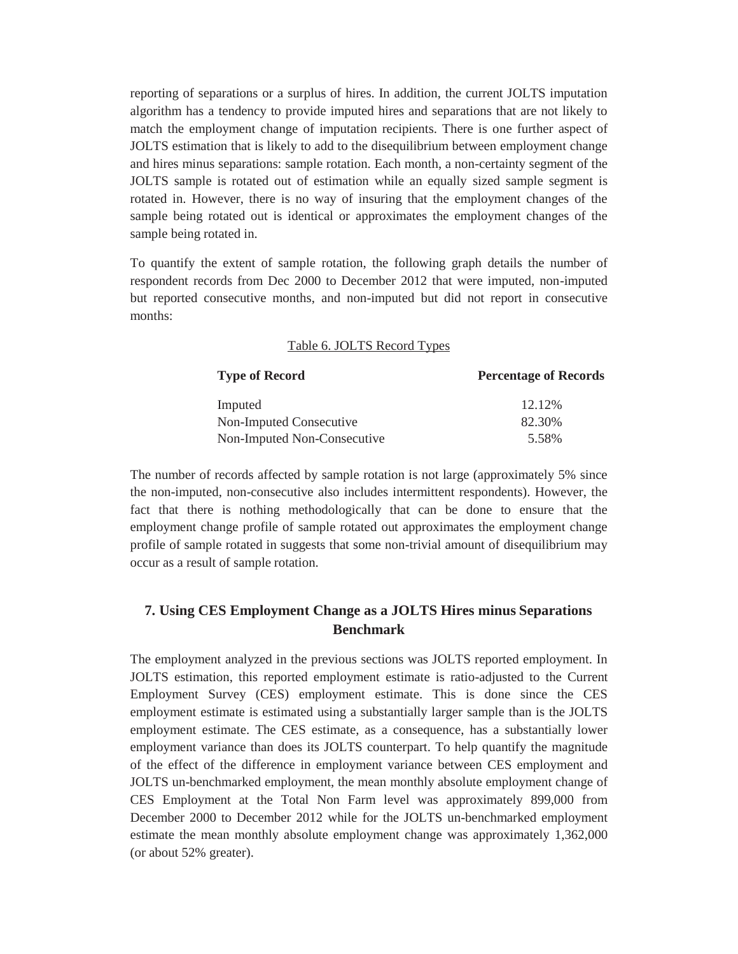reporting of separations or a surplus of hires. In addition, the current JOLTS imputation algorithm has a tendency to provide imputed hires and separations that are not likely to match the employment change of imputation recipients. There is one further aspect of JOLTS estimation that is likely to add to the disequilibrium between employment change and hires minus separations: sample rotation. Each month, a non-certainty segment of the JOLTS sample is rotated out of estimation while an equally sized sample segment is rotated in. However, there is no way of insuring that the employment changes of the sample being rotated out is identical or approximates the employment changes of the sample being rotated in.

To quantify the extent of sample rotation, the following graph details the number of respondent records from Dec 2000 to December 2012 that were imputed, non-imputed but reported consecutive months, and non-imputed but did not report in consecutive months:

#### Table 6. JOLTS Record Types

| <b>Type of Record</b>       | <b>Percentage of Records</b> |
|-----------------------------|------------------------------|
| Imputed                     | 12.12%                       |
| Non-Imputed Consecutive     | 82.30%                       |
| Non-Imputed Non-Consecutive | 5.58%                        |

The number of records affected by sample rotation is not large (approximately 5% since the non-imputed, non-consecutive also includes intermittent respondents). However, the fact that there is nothing methodologically that can be done to ensure that the employment change profile of sample rotated out approximates the employment change profile of sample rotated in suggests that some non-trivial amount of disequilibrium may occur as a result of sample rotation.

# **7. Using CES Employment Change as a JOLTS Hires minus Separations Benchmark**

The employment analyzed in the previous sections was JOLTS reported employment. In JOLTS estimation, this reported employment estimate is ratio-adjusted to the Current Employment Survey (CES) employment estimate. This is done since the CES employment estimate is estimated using a substantially larger sample than is the JOLTS employment estimate. The CES estimate, as a consequence, has a substantially lower employment variance than does its JOLTS counterpart. To help quantify the magnitude of the effect of the difference in employment variance between CES employment and JOLTS un-benchmarked employment, the mean monthly absolute employment change of CES Employment at the Total Non Farm level was approximately 899,000 from December 2000 to December 2012 while for the JOLTS un-benchmarked employment estimate the mean monthly absolute employment change was approximately 1,362,000 (or about 52% greater).